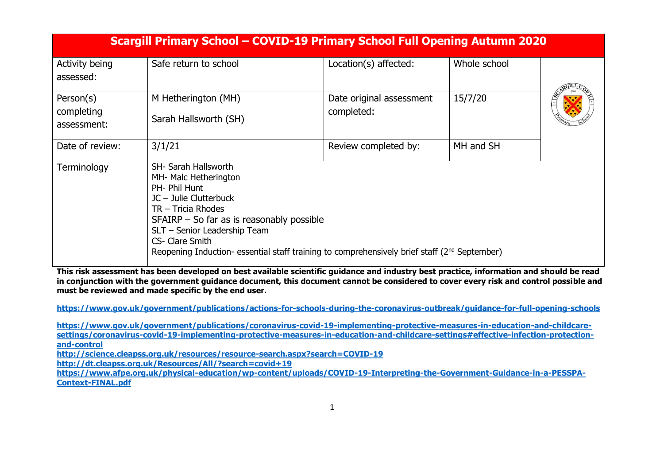|                                        | Scargill Primary School - COVID-19 Primary School Full Opening Autumn 2020                                                                                                                                                                                                                                                              |                                        |              |  |
|----------------------------------------|-----------------------------------------------------------------------------------------------------------------------------------------------------------------------------------------------------------------------------------------------------------------------------------------------------------------------------------------|----------------------------------------|--------------|--|
| Activity being<br>assessed:            | Safe return to school                                                                                                                                                                                                                                                                                                                   | Location(s) affected:                  | Whole school |  |
| Person(s)<br>completing<br>assessment: | M Hetherington (MH)<br>Sarah Hallsworth (SH)                                                                                                                                                                                                                                                                                            | Date original assessment<br>completed: | 15/7/20      |  |
| Date of review:                        | 3/1/21                                                                                                                                                                                                                                                                                                                                  | Review completed by:                   | MH and SH    |  |
| Terminology                            | <b>SH- Sarah Hallsworth</b><br>MH- Malc Hetherington<br>PH- Phil Hunt<br>$JC - Julie Clutterback$<br>$TR$ – Tricia Rhodes<br>$SFAIRP -$ So far as is reasonably possible<br>SLT - Senior Leadership Team<br>CS- Clare Smith<br>Reopening Induction- essential staff training to comprehensively brief staff (2 <sup>nd</sup> September) |                                        |              |  |

**This risk assessment has been developed on best available scientific guidance and industry best practice, information and should be read in conjunction with the government guidance document, this document cannot be considered to cover every risk and control possible and must be reviewed and made specific by the end user.** 

**<https://www.gov.uk/government/publications/actions-for-schools-during-the-coronavirus-outbreak/guidance-for-full-opening-schools>**

**[https://www.gov.uk/government/publications/coronavirus-covid-19-implementing-protective-measures-in-education-and-childcare](https://www.gov.uk/government/publications/coronavirus-covid-19-implementing-protective-measures-in-education-and-childcare-settings/coronavirus-covid-19-implementing-protective-measures-in-education-and-childcare-settings#effective-infection-protection-and-control)[settings/coronavirus-covid-19-implementing-protective-measures-in-education-and-childcare-settings#effective-infection-protection](https://www.gov.uk/government/publications/coronavirus-covid-19-implementing-protective-measures-in-education-and-childcare-settings/coronavirus-covid-19-implementing-protective-measures-in-education-and-childcare-settings#effective-infection-protection-and-control)[and-control](https://www.gov.uk/government/publications/coronavirus-covid-19-implementing-protective-measures-in-education-and-childcare-settings/coronavirus-covid-19-implementing-protective-measures-in-education-and-childcare-settings#effective-infection-protection-and-control)**

**<http://science.cleapss.org.uk/resources/resource-search.aspx?search=COVID-19>**

**<http://dt.cleapss.org.uk/Resources/All/?search=covid+19>**

[https://www.afpe.org.uk/physical-education/wp-content/uploads/COVID-19-Interpreting-the-Government-Guidance-in-a-PESSPA-](https://www.afpe.org.uk/physical-education/wp-content/uploads/COVID-19-Interpreting-the-Government-Guidance-in-a-PESSPA-Context-FINAL.pdf)**[Context-FINAL.pdf](https://www.afpe.org.uk/physical-education/wp-content/uploads/COVID-19-Interpreting-the-Government-Guidance-in-a-PESSPA-Context-FINAL.pdf)**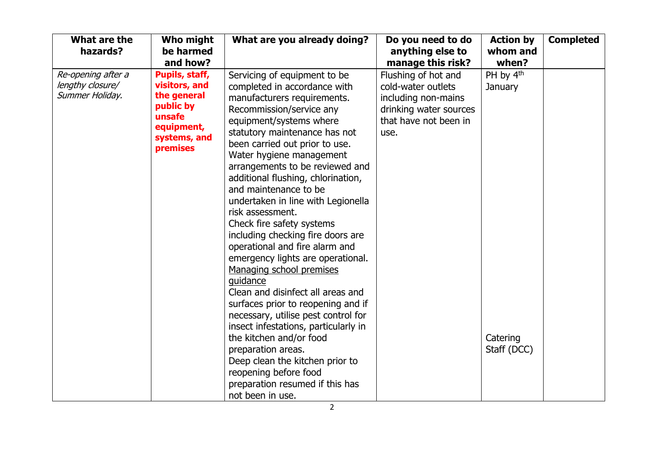| What are the<br>hazards?                                  | Who might<br>be harmed<br>and how?                                                                              | What are you already doing?                                                                                                                                                                                                                                                                                                                                                                                                                                                                                                                                                                                                                                                                                                                                                                                                                                                                                                  | Do you need to do<br>anything else to<br>manage this risk?                                                                  | <b>Action by</b><br>whom and<br>when?                       | <b>Completed</b> |
|-----------------------------------------------------------|-----------------------------------------------------------------------------------------------------------------|------------------------------------------------------------------------------------------------------------------------------------------------------------------------------------------------------------------------------------------------------------------------------------------------------------------------------------------------------------------------------------------------------------------------------------------------------------------------------------------------------------------------------------------------------------------------------------------------------------------------------------------------------------------------------------------------------------------------------------------------------------------------------------------------------------------------------------------------------------------------------------------------------------------------------|-----------------------------------------------------------------------------------------------------------------------------|-------------------------------------------------------------|------------------|
| Re-opening after a<br>lengthy closure/<br>Summer Holiday. | Pupils, staff,<br>visitors, and<br>the general<br>public by<br>unsafe<br>equipment,<br>systems, and<br>premises | Servicing of equipment to be<br>completed in accordance with<br>manufacturers requirements.<br>Recommission/service any<br>equipment/systems where<br>statutory maintenance has not<br>been carried out prior to use.<br>Water hygiene management<br>arrangements to be reviewed and<br>additional flushing, chlorination,<br>and maintenance to be<br>undertaken in line with Legionella<br>risk assessment.<br>Check fire safety systems<br>including checking fire doors are<br>operational and fire alarm and<br>emergency lights are operational.<br>Managing school premises<br>guidance<br>Clean and disinfect all areas and<br>surfaces prior to reopening and if<br>necessary, utilise pest control for<br>insect infestations, particularly in<br>the kitchen and/or food<br>preparation areas.<br>Deep clean the kitchen prior to<br>reopening before food<br>preparation resumed if this has<br>not been in use. | Flushing of hot and<br>cold-water outlets<br>including non-mains<br>drinking water sources<br>that have not been in<br>use. | PH by 4 <sup>th</sup><br>January<br>Catering<br>Staff (DCC) |                  |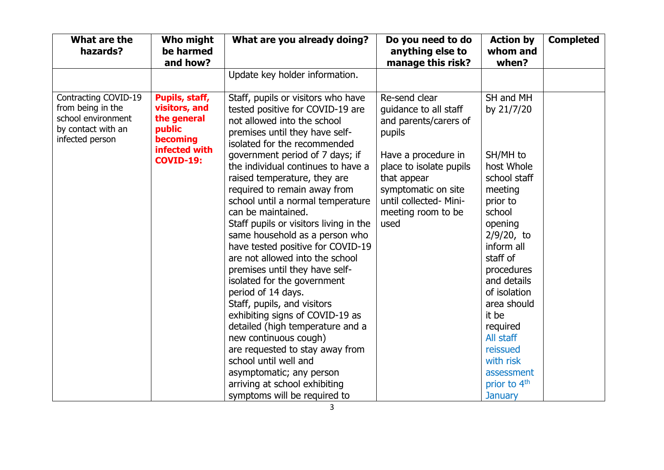| What are the<br>hazards?                                                                                 | Who might<br>be harmed<br>and how?                                                    | What are you already doing?                                                                                                                                                                                                                                                                                                                                                                                                                                                                                                                       | Do you need to do<br>anything else to<br>manage this risk?                                                                                   | <b>Action by</b><br>whom and<br>when?                                                                                                                                                                          | <b>Completed</b> |
|----------------------------------------------------------------------------------------------------------|---------------------------------------------------------------------------------------|---------------------------------------------------------------------------------------------------------------------------------------------------------------------------------------------------------------------------------------------------------------------------------------------------------------------------------------------------------------------------------------------------------------------------------------------------------------------------------------------------------------------------------------------------|----------------------------------------------------------------------------------------------------------------------------------------------|----------------------------------------------------------------------------------------------------------------------------------------------------------------------------------------------------------------|------------------|
|                                                                                                          |                                                                                       | Update key holder information.                                                                                                                                                                                                                                                                                                                                                                                                                                                                                                                    |                                                                                                                                              |                                                                                                                                                                                                                |                  |
| Contracting COVID-19<br>from being in the<br>school environment<br>by contact with an<br>infected person | Pupils, staff,<br>visitors, and<br>the general<br>public<br>becoming<br>infected with | Staff, pupils or visitors who have<br>tested positive for COVID-19 are<br>not allowed into the school<br>premises until they have self-<br>isolated for the recommended                                                                                                                                                                                                                                                                                                                                                                           | Re-send clear<br>guidance to all staff<br>and parents/carers of<br>pupils                                                                    | SH and MH<br>by 21/7/20                                                                                                                                                                                        |                  |
|                                                                                                          | <b>COVID-19:</b>                                                                      | government period of 7 days; if<br>the individual continues to have a<br>raised temperature, they are<br>required to remain away from<br>school until a normal temperature<br>can be maintained.<br>Staff pupils or visitors living in the<br>same household as a person who<br>have tested positive for COVID-19<br>are not allowed into the school<br>premises until they have self-<br>isolated for the government<br>period of 14 days.<br>Staff, pupils, and visitors<br>exhibiting signs of COVID-19 as<br>detailed (high temperature and a | Have a procedure in<br>place to isolate pupils<br>that appear<br>symptomatic on site<br>until collected- Mini-<br>meeting room to be<br>used | SH/MH to<br>host Whole<br>school staff<br>meeting<br>prior to<br>school<br>opening<br>$2/9/20$ , to<br>inform all<br>staff of<br>procedures<br>and details<br>of isolation<br>area should<br>it be<br>required |                  |
|                                                                                                          |                                                                                       | new continuous cough)<br>are requested to stay away from<br>school until well and<br>asymptomatic; any person<br>arriving at school exhibiting<br>symptoms will be required to                                                                                                                                                                                                                                                                                                                                                                    |                                                                                                                                              | All staff<br>reissued<br>with risk<br>assessment<br>prior to 4 <sup>th</sup><br><b>January</b>                                                                                                                 |                  |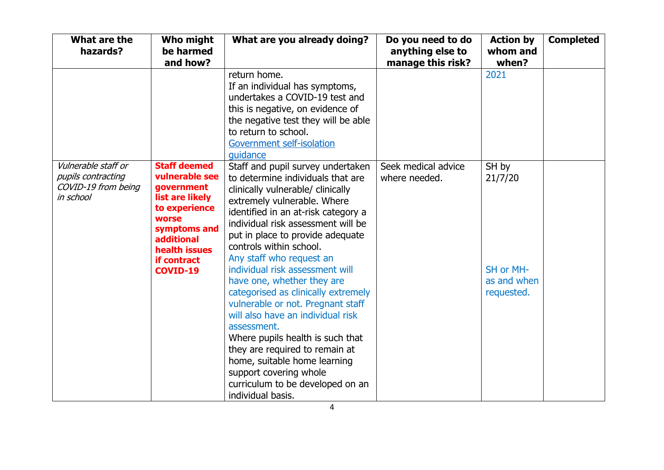| What are the<br>hazards?                                                      | Who might<br>be harmed                                                                                                                                                                          | What are you already doing?                                                                                                                                                                                                                                                                                                                                                                                                                                                                                                                                                                                                                                                                                  | Do you need to do<br>anything else to | <b>Action by</b><br>whom and                               | <b>Completed</b> |
|-------------------------------------------------------------------------------|-------------------------------------------------------------------------------------------------------------------------------------------------------------------------------------------------|--------------------------------------------------------------------------------------------------------------------------------------------------------------------------------------------------------------------------------------------------------------------------------------------------------------------------------------------------------------------------------------------------------------------------------------------------------------------------------------------------------------------------------------------------------------------------------------------------------------------------------------------------------------------------------------------------------------|---------------------------------------|------------------------------------------------------------|------------------|
|                                                                               | and how?                                                                                                                                                                                        |                                                                                                                                                                                                                                                                                                                                                                                                                                                                                                                                                                                                                                                                                                              | manage this risk?                     | when?                                                      |                  |
|                                                                               |                                                                                                                                                                                                 | return home.<br>If an individual has symptoms,<br>undertakes a COVID-19 test and<br>this is negative, on evidence of<br>the negative test they will be able<br>to return to school.<br>Government self-isolation<br>quidance                                                                                                                                                                                                                                                                                                                                                                                                                                                                                 |                                       | 2021                                                       |                  |
| Vulnerable staff or<br>pupils contracting<br>COVID-19 from being<br>in school | <b>Staff deemed</b><br>vulnerable see<br>government<br>list are likely<br>to experience<br><b>worse</b><br>symptoms and<br><b>additional</b><br>health issues<br>if contract<br><b>COVID-19</b> | Staff and pupil survey undertaken<br>to determine individuals that are<br>clinically vulnerable/ clinically<br>extremely vulnerable. Where<br>identified in an at-risk category a<br>individual risk assessment will be<br>put in place to provide adequate<br>controls within school.<br>Any staff who request an<br>individual risk assessment will<br>have one, whether they are<br>categorised as clinically extremely<br>vulnerable or not. Pregnant staff<br>will also have an individual risk<br>assessment.<br>Where pupils health is such that<br>they are required to remain at<br>home, suitable home learning<br>support covering whole<br>curriculum to be developed on an<br>individual basis. | Seek medical advice<br>where needed.  | SH by<br>21/7/20<br>SH or MH-<br>as and when<br>requested. |                  |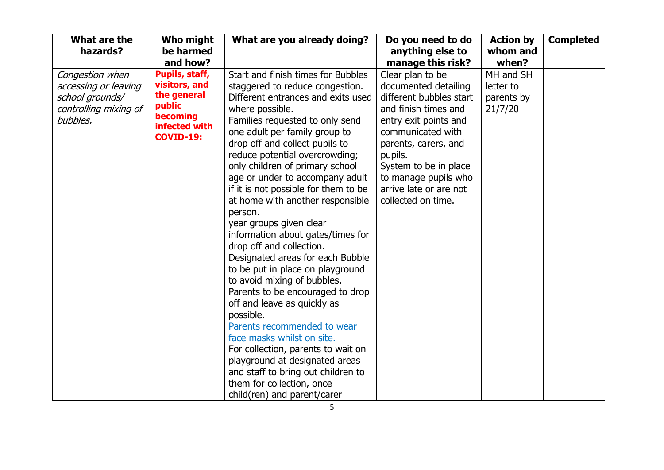| What are the<br>hazards?                                                                        | Who might<br>be harmed                                                                                    | What are you already doing?                                                                                                                                                                                                                                                                                                                                                                                                                                                                                                                                                                                                                                                                                                                                                                                                                                                                                                                                   | Do you need to do<br>anything else to                                                                                                                                                                                                                                         | <b>Action by</b><br>whom and                    | <b>Completed</b> |
|-------------------------------------------------------------------------------------------------|-----------------------------------------------------------------------------------------------------------|---------------------------------------------------------------------------------------------------------------------------------------------------------------------------------------------------------------------------------------------------------------------------------------------------------------------------------------------------------------------------------------------------------------------------------------------------------------------------------------------------------------------------------------------------------------------------------------------------------------------------------------------------------------------------------------------------------------------------------------------------------------------------------------------------------------------------------------------------------------------------------------------------------------------------------------------------------------|-------------------------------------------------------------------------------------------------------------------------------------------------------------------------------------------------------------------------------------------------------------------------------|-------------------------------------------------|------------------|
|                                                                                                 | and how?                                                                                                  |                                                                                                                                                                                                                                                                                                                                                                                                                                                                                                                                                                                                                                                                                                                                                                                                                                                                                                                                                               | manage this risk?                                                                                                                                                                                                                                                             | when?                                           |                  |
| Congestion when<br>accessing or leaving<br>school grounds/<br>controlling mixing of<br>bubbles. | Pupils, staff,<br>visitors, and<br>the general<br>public<br>becoming<br>infected with<br><b>COVID-19:</b> | Start and finish times for Bubbles<br>staggered to reduce congestion.<br>Different entrances and exits used<br>where possible.<br>Families requested to only send<br>one adult per family group to<br>drop off and collect pupils to<br>reduce potential overcrowding;<br>only children of primary school<br>age or under to accompany adult<br>if it is not possible for them to be<br>at home with another responsible<br>person.<br>year groups given clear<br>information about gates/times for<br>drop off and collection.<br>Designated areas for each Bubble<br>to be put in place on playground<br>to avoid mixing of bubbles.<br>Parents to be encouraged to drop<br>off and leave as quickly as<br>possible.<br>Parents recommended to wear<br>face masks whilst on site.<br>For collection, parents to wait on<br>playground at designated areas<br>and staff to bring out children to<br>them for collection, once<br>child(ren) and parent/carer | Clear plan to be<br>documented detailing<br>different bubbles start<br>and finish times and<br>entry exit points and<br>communicated with<br>parents, carers, and<br>pupils.<br>System to be in place<br>to manage pupils who<br>arrive late or are not<br>collected on time. | MH and SH<br>letter to<br>parents by<br>21/7/20 |                  |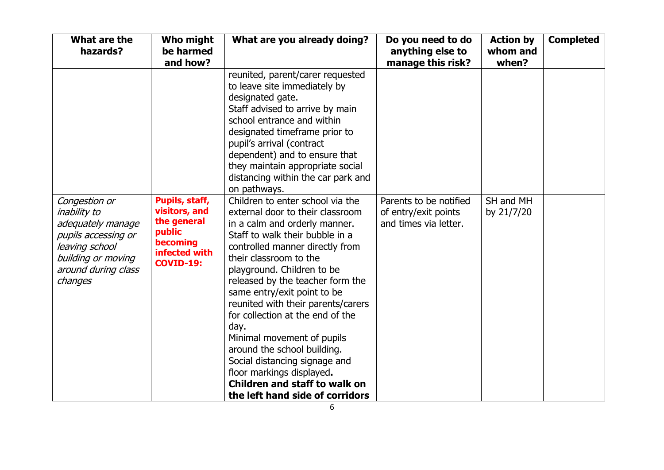| What are the<br>hazards?                                                                                                                                   | Who might<br>be harmed<br>and how?                                                                        | What are you already doing?                                                                                                                                                                                                                                                                                                                                                                                                                                                                                                                                                                                                                                                                                                                                                                                                                                                                                   | Do you need to do<br>anything else to<br>manage this risk?              | <b>Action by</b><br>whom and<br>when? | <b>Completed</b> |
|------------------------------------------------------------------------------------------------------------------------------------------------------------|-----------------------------------------------------------------------------------------------------------|---------------------------------------------------------------------------------------------------------------------------------------------------------------------------------------------------------------------------------------------------------------------------------------------------------------------------------------------------------------------------------------------------------------------------------------------------------------------------------------------------------------------------------------------------------------------------------------------------------------------------------------------------------------------------------------------------------------------------------------------------------------------------------------------------------------------------------------------------------------------------------------------------------------|-------------------------------------------------------------------------|---------------------------------------|------------------|
| Congestion or<br><i>inability to</i><br>adequately manage<br>pupils accessing or<br>leaving school<br>building or moving<br>around during class<br>changes | Pupils, staff,<br>visitors, and<br>the general<br>public<br>becoming<br>infected with<br><b>COVID-19:</b> | reunited, parent/carer requested<br>to leave site immediately by<br>designated gate.<br>Staff advised to arrive by main<br>school entrance and within<br>designated timeframe prior to<br>pupil's arrival (contract<br>dependent) and to ensure that<br>they maintain appropriate social<br>distancing within the car park and<br>on pathways.<br>Children to enter school via the<br>external door to their classroom<br>in a calm and orderly manner.<br>Staff to walk their bubble in a<br>controlled manner directly from<br>their classroom to the<br>playground. Children to be<br>released by the teacher form the<br>same entry/exit point to be<br>reunited with their parents/carers<br>for collection at the end of the<br>day.<br>Minimal movement of pupils<br>around the school building.<br>Social distancing signage and<br>floor markings displayed.<br><b>Children and staff to walk on</b> | Parents to be notified<br>of entry/exit points<br>and times via letter. | SH and MH<br>by 21/7/20               |                  |
|                                                                                                                                                            |                                                                                                           | the left hand side of corridors                                                                                                                                                                                                                                                                                                                                                                                                                                                                                                                                                                                                                                                                                                                                                                                                                                                                               |                                                                         |                                       |                  |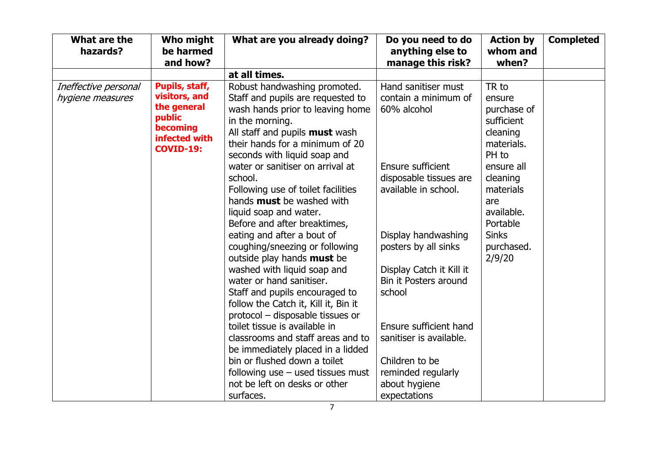| What are the<br>hazards? | Who might<br>be harmed | What are you already doing?           | Do you need to do<br>anything else to | <b>Action by</b><br>whom and | <b>Completed</b> |
|--------------------------|------------------------|---------------------------------------|---------------------------------------|------------------------------|------------------|
|                          | and how?               |                                       | manage this risk?                     | when?                        |                  |
|                          |                        | at all times.                         |                                       |                              |                  |
| Ineffective personal     | Pupils, staff,         | Robust handwashing promoted.          | Hand sanitiser must                   | TR to                        |                  |
| hygiene measures         | visitors, and          | Staff and pupils are requested to     | contain a minimum of                  | ensure                       |                  |
|                          | the general            | wash hands prior to leaving home      | 60% alcohol                           | purchase of                  |                  |
|                          | public<br>becoming     | in the morning.                       |                                       | sufficient                   |                  |
|                          | infected with          | All staff and pupils <b>must</b> wash |                                       | cleaning                     |                  |
|                          | <b>COVID-19:</b>       | their hands for a minimum of 20       |                                       | materials.                   |                  |
|                          |                        | seconds with liquid soap and          |                                       | PH to                        |                  |
|                          |                        | water or sanitiser on arrival at      | Ensure sufficient                     | ensure all                   |                  |
|                          |                        | school.                               | disposable tissues are                | cleaning                     |                  |
|                          |                        | Following use of toilet facilities    | available in school.                  | materials                    |                  |
|                          |                        | hands <b>must</b> be washed with      |                                       | are                          |                  |
|                          |                        | liquid soap and water.                |                                       | available.                   |                  |
|                          |                        | Before and after breaktimes,          |                                       | Portable                     |                  |
|                          |                        | eating and after a bout of            | Display handwashing                   | <b>Sinks</b>                 |                  |
|                          |                        | coughing/sneezing or following        | posters by all sinks                  | purchased.                   |                  |
|                          |                        | outside play hands <b>must</b> be     |                                       | 2/9/20                       |                  |
|                          |                        | washed with liquid soap and           | Display Catch it Kill it              |                              |                  |
|                          |                        | water or hand sanitiser.              | Bin it Posters around                 |                              |                  |
|                          |                        | Staff and pupils encouraged to        | school                                |                              |                  |
|                          |                        | follow the Catch it, Kill it, Bin it  |                                       |                              |                  |
|                          |                        | protocol - disposable tissues or      |                                       |                              |                  |
|                          |                        | toilet tissue is available in         | Ensure sufficient hand                |                              |                  |
|                          |                        | classrooms and staff areas and to     | sanitiser is available.               |                              |                  |
|                          |                        | be immediately placed in a lidded     |                                       |                              |                  |
|                          |                        | bin or flushed down a toilet          | Children to be                        |                              |                  |
|                          |                        | following use $-$ used tissues must   | reminded regularly                    |                              |                  |
|                          |                        | not be left on desks or other         | about hygiene                         |                              |                  |
|                          |                        | surfaces.                             | expectations                          |                              |                  |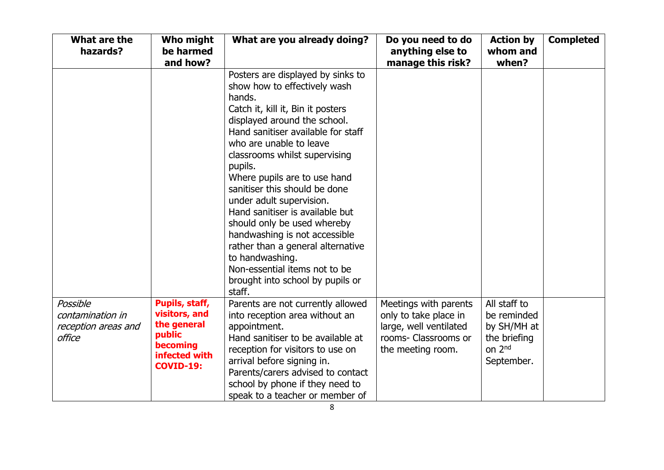| What are the<br>hazards?                                      | Who might<br>be harmed<br>and how?                                                                        | What are you already doing?                                                                                                                                                                                                                                                                                                                                                                                                                                                                                                                                                                          | Do you need to do<br>anything else to<br>manage this risk?                                                            | <b>Action by</b><br>whom and<br>when?                                                          | <b>Completed</b> |
|---------------------------------------------------------------|-----------------------------------------------------------------------------------------------------------|------------------------------------------------------------------------------------------------------------------------------------------------------------------------------------------------------------------------------------------------------------------------------------------------------------------------------------------------------------------------------------------------------------------------------------------------------------------------------------------------------------------------------------------------------------------------------------------------------|-----------------------------------------------------------------------------------------------------------------------|------------------------------------------------------------------------------------------------|------------------|
|                                                               |                                                                                                           | Posters are displayed by sinks to<br>show how to effectively wash<br>hands.<br>Catch it, kill it, Bin it posters<br>displayed around the school.<br>Hand sanitiser available for staff<br>who are unable to leave<br>classrooms whilst supervising<br>pupils.<br>Where pupils are to use hand<br>sanitiser this should be done<br>under adult supervision.<br>Hand sanitiser is available but<br>should only be used whereby<br>handwashing is not accessible<br>rather than a general alternative<br>to handwashing.<br>Non-essential items not to be<br>brought into school by pupils or<br>staff. |                                                                                                                       |                                                                                                |                  |
| Possible<br>contamination in<br>reception areas and<br>office | Pupils, staff,<br>visitors, and<br>the general<br>public<br>becoming<br>infected with<br><b>COVID-19:</b> | Parents are not currently allowed<br>into reception area without an<br>appointment.<br>Hand sanitiser to be available at<br>reception for visitors to use on<br>arrival before signing in.<br>Parents/carers advised to contact<br>school by phone if they need to<br>speak to a teacher or member of                                                                                                                                                                                                                                                                                                | Meetings with parents<br>only to take place in<br>large, well ventilated<br>rooms- Classrooms or<br>the meeting room. | All staff to<br>be reminded<br>by SH/MH at<br>the briefing<br>on 2 <sup>nd</sup><br>September. |                  |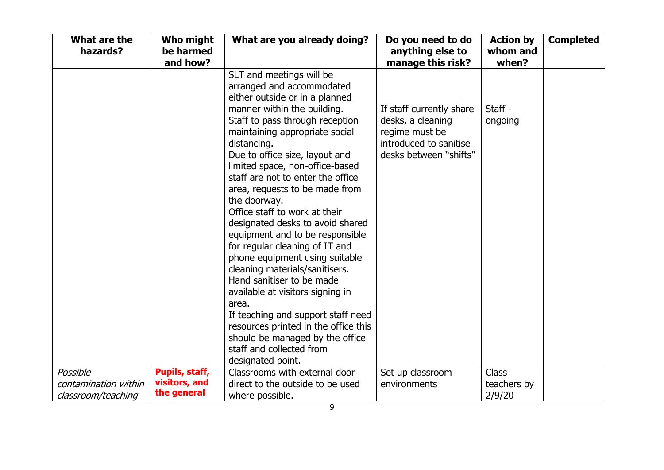| What are the<br>hazards? | Who might<br>be harmed<br>and how? | What are you already doing?                   | Do you need to do<br>anything else to<br>manage this risk? | <b>Action by</b><br>whom and<br>when? | <b>Completed</b> |
|--------------------------|------------------------------------|-----------------------------------------------|------------------------------------------------------------|---------------------------------------|------------------|
|                          |                                    | SLT and meetings will be                      |                                                            |                                       |                  |
|                          |                                    | arranged and accommodated                     |                                                            |                                       |                  |
|                          |                                    | either outside or in a planned                |                                                            |                                       |                  |
|                          |                                    | manner within the building.                   | If staff currently share                                   | Staff -                               |                  |
|                          |                                    | Staff to pass through reception               | desks, a cleaning                                          | ongoing                               |                  |
|                          |                                    | maintaining appropriate social                | regime must be                                             |                                       |                  |
|                          |                                    | distancing.                                   | introduced to sanitise                                     |                                       |                  |
|                          |                                    | Due to office size, layout and                | desks between "shifts"                                     |                                       |                  |
|                          |                                    | limited space, non-office-based               |                                                            |                                       |                  |
|                          |                                    | staff are not to enter the office             |                                                            |                                       |                  |
|                          |                                    | area, requests to be made from                |                                                            |                                       |                  |
|                          |                                    | the doorway.<br>Office staff to work at their |                                                            |                                       |                  |
|                          |                                    | designated desks to avoid shared              |                                                            |                                       |                  |
|                          |                                    | equipment and to be responsible               |                                                            |                                       |                  |
|                          |                                    | for regular cleaning of IT and                |                                                            |                                       |                  |
|                          |                                    | phone equipment using suitable                |                                                            |                                       |                  |
|                          |                                    | cleaning materials/sanitisers.                |                                                            |                                       |                  |
|                          |                                    | Hand sanitiser to be made                     |                                                            |                                       |                  |
|                          |                                    | available at visitors signing in              |                                                            |                                       |                  |
|                          |                                    | area.                                         |                                                            |                                       |                  |
|                          |                                    | If teaching and support staff need            |                                                            |                                       |                  |
|                          |                                    | resources printed in the office this          |                                                            |                                       |                  |
|                          |                                    | should be managed by the office               |                                                            |                                       |                  |
|                          |                                    | staff and collected from                      |                                                            |                                       |                  |
|                          |                                    | designated point.                             |                                                            |                                       |                  |
| Possible                 | Pupils, staff,                     | Classrooms with external door                 | Set up classroom                                           | <b>Class</b>                          |                  |
| contamination within     | visitors, and                      | direct to the outside to be used              | environments                                               | teachers by                           |                  |
| classroom/teaching       | the general                        | where possible.                               |                                                            | 2/9/20                                |                  |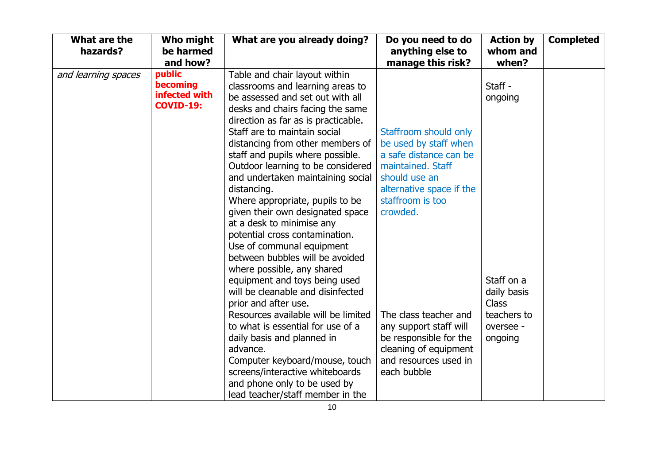| What are the<br>hazards? | <b>Who might</b><br>be harmed<br>and how?               | What are you already doing?                                                                                                                                                                                                                                                                                                                                                                                                                                                                                                                                                                                                                                                                                                                                                                                                                                                                                                                    | Do you need to do<br>anything else to<br>manage this risk?                                                                                                                                                                                                                                                               | <b>Action by</b><br>whom and<br>when?                                                                  | <b>Completed</b> |
|--------------------------|---------------------------------------------------------|------------------------------------------------------------------------------------------------------------------------------------------------------------------------------------------------------------------------------------------------------------------------------------------------------------------------------------------------------------------------------------------------------------------------------------------------------------------------------------------------------------------------------------------------------------------------------------------------------------------------------------------------------------------------------------------------------------------------------------------------------------------------------------------------------------------------------------------------------------------------------------------------------------------------------------------------|--------------------------------------------------------------------------------------------------------------------------------------------------------------------------------------------------------------------------------------------------------------------------------------------------------------------------|--------------------------------------------------------------------------------------------------------|------------------|
| and learning spaces      | public<br>becoming<br>infected with<br><b>COVID-19:</b> | Table and chair layout within<br>classrooms and learning areas to<br>be assessed and set out with all<br>desks and chairs facing the same<br>direction as far as is practicable.<br>Staff are to maintain social<br>distancing from other members of<br>staff and pupils where possible.<br>Outdoor learning to be considered<br>and undertaken maintaining social<br>distancing.<br>Where appropriate, pupils to be<br>given their own designated space<br>at a desk to minimise any<br>potential cross contamination.<br>Use of communal equipment<br>between bubbles will be avoided<br>where possible, any shared<br>equipment and toys being used<br>will be cleanable and disinfected<br>prior and after use.<br>Resources available will be limited<br>to what is essential for use of a<br>daily basis and planned in<br>advance.<br>Computer keyboard/mouse, touch<br>screens/interactive whiteboards<br>and phone only to be used by | Staffroom should only<br>be used by staff when<br>a safe distance can be<br>maintained. Staff<br>should use an<br>alternative space if the<br>staffroom is too<br>crowded.<br>The class teacher and<br>any support staff will<br>be responsible for the<br>cleaning of equipment<br>and resources used in<br>each bubble | Staff -<br>ongoing<br>Staff on a<br>daily basis<br><b>Class</b><br>teachers to<br>oversee -<br>ongoing |                  |
|                          |                                                         | lead teacher/staff member in the                                                                                                                                                                                                                                                                                                                                                                                                                                                                                                                                                                                                                                                                                                                                                                                                                                                                                                               |                                                                                                                                                                                                                                                                                                                          |                                                                                                        |                  |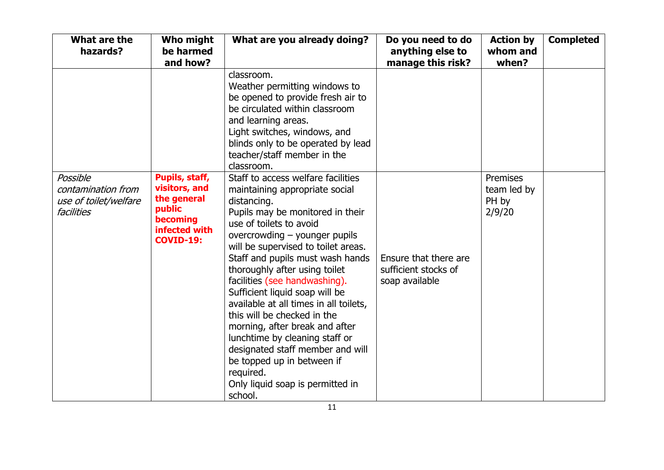| What are the<br>hazards?                                              | Who might<br>be harmed<br>and how?                                                                        | What are you already doing?                                                                                                                                                                                                                                                                                                                                                                                                                                                                                                                                                                                                                   | Do you need to do<br>anything else to<br>manage this risk?      | <b>Action by</b><br>whom and<br>when?      | <b>Completed</b> |
|-----------------------------------------------------------------------|-----------------------------------------------------------------------------------------------------------|-----------------------------------------------------------------------------------------------------------------------------------------------------------------------------------------------------------------------------------------------------------------------------------------------------------------------------------------------------------------------------------------------------------------------------------------------------------------------------------------------------------------------------------------------------------------------------------------------------------------------------------------------|-----------------------------------------------------------------|--------------------------------------------|------------------|
|                                                                       |                                                                                                           | classroom.<br>Weather permitting windows to<br>be opened to provide fresh air to<br>be circulated within classroom<br>and learning areas.<br>Light switches, windows, and<br>blinds only to be operated by lead<br>teacher/staff member in the<br>classroom.                                                                                                                                                                                                                                                                                                                                                                                  |                                                                 |                                            |                  |
| Possible<br>contamination from<br>use of toilet/welfare<br>facilities | Pupils, staff,<br>visitors, and<br>the general<br>public<br>becoming<br>infected with<br><b>COVID-19:</b> | Staff to access welfare facilities<br>maintaining appropriate social<br>distancing.<br>Pupils may be monitored in their<br>use of toilets to avoid<br>overcrowding – younger pupils<br>will be supervised to toilet areas.<br>Staff and pupils must wash hands<br>thoroughly after using toilet<br>facilities (see handwashing).<br>Sufficient liquid soap will be<br>available at all times in all toilets,<br>this will be checked in the<br>morning, after break and after<br>lunchtime by cleaning staff or<br>designated staff member and will<br>be topped up in between if<br>required.<br>Only liquid soap is permitted in<br>school. | Ensure that there are<br>sufficient stocks of<br>soap available | Premises<br>team led by<br>PH by<br>2/9/20 |                  |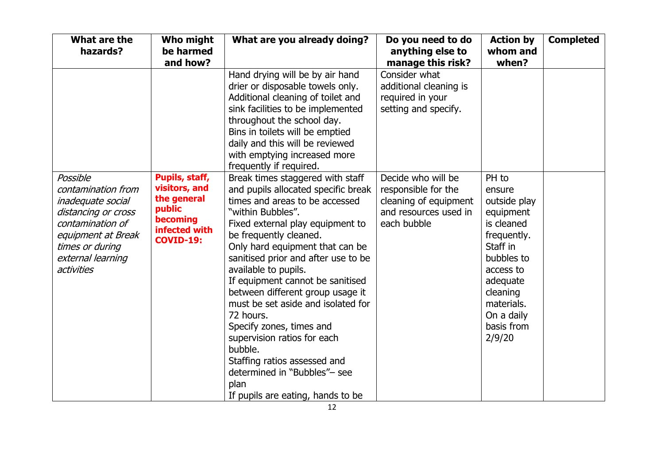| What are the<br>hazards?                                                                                                                                                   | Who might<br>be harmed<br>and how?                                                                        | What are you already doing?                                                                                                                                                                                                                                                                                                                                                                                                                                                                                                                                                                                  | Do you need to do<br>anything else to<br>manage this risk?                                                 | <b>Action by</b><br>whom and<br>when?                                                                                                                                                        | <b>Completed</b> |
|----------------------------------------------------------------------------------------------------------------------------------------------------------------------------|-----------------------------------------------------------------------------------------------------------|--------------------------------------------------------------------------------------------------------------------------------------------------------------------------------------------------------------------------------------------------------------------------------------------------------------------------------------------------------------------------------------------------------------------------------------------------------------------------------------------------------------------------------------------------------------------------------------------------------------|------------------------------------------------------------------------------------------------------------|----------------------------------------------------------------------------------------------------------------------------------------------------------------------------------------------|------------------|
|                                                                                                                                                                            |                                                                                                           | Hand drying will be by air hand<br>drier or disposable towels only.<br>Additional cleaning of toilet and<br>sink facilities to be implemented<br>throughout the school day.<br>Bins in toilets will be emptied<br>daily and this will be reviewed<br>with emptying increased more<br>frequently if required.                                                                                                                                                                                                                                                                                                 | Consider what<br>additional cleaning is<br>required in your<br>setting and specify.                        |                                                                                                                                                                                              |                  |
| Possible<br>contamination from<br>inadequate social<br>distancing or cross<br>contamination of<br>equipment at Break<br>times or during<br>external learning<br>activities | Pupils, staff,<br>visitors, and<br>the general<br>public<br>becoming<br>infected with<br><b>COVID-19:</b> | Break times staggered with staff<br>and pupils allocated specific break<br>times and areas to be accessed<br>"within Bubbles".<br>Fixed external play equipment to<br>be frequently cleaned.<br>Only hard equipment that can be<br>sanitised prior and after use to be<br>available to pupils.<br>If equipment cannot be sanitised<br>between different group usage it<br>must be set aside and isolated for<br>72 hours.<br>Specify zones, times and<br>supervision ratios for each<br>bubble.<br>Staffing ratios assessed and<br>determined in "Bubbles"- see<br>plan<br>If pupils are eating, hands to be | Decide who will be<br>responsible for the<br>cleaning of equipment<br>and resources used in<br>each bubble | PH to<br>ensure<br>outside play<br>equipment<br>is cleaned<br>frequently.<br>Staff in<br>bubbles to<br>access to<br>adequate<br>cleaning<br>materials.<br>On a daily<br>basis from<br>2/9/20 |                  |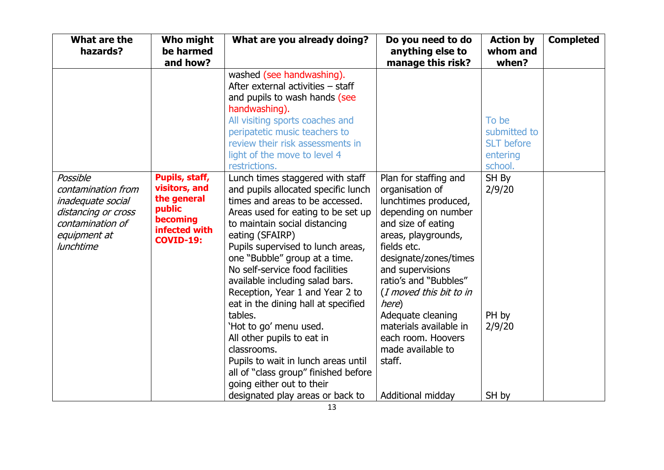| and how?                                                                                                  |                                                                                                                                                                                                                                                                                                                                                                                                                                                                                                                                                                                                                          | anything else to<br>manage this risk?                                                                                                                                                                                                                                                                                                                             | whom and<br>when?                                                 | <b>Completed</b> |
|-----------------------------------------------------------------------------------------------------------|--------------------------------------------------------------------------------------------------------------------------------------------------------------------------------------------------------------------------------------------------------------------------------------------------------------------------------------------------------------------------------------------------------------------------------------------------------------------------------------------------------------------------------------------------------------------------------------------------------------------------|-------------------------------------------------------------------------------------------------------------------------------------------------------------------------------------------------------------------------------------------------------------------------------------------------------------------------------------------------------------------|-------------------------------------------------------------------|------------------|
|                                                                                                           | washed (see handwashing).<br>After external activities - staff<br>and pupils to wash hands (see<br>handwashing).<br>All visiting sports coaches and<br>peripatetic music teachers to<br>review their risk assessments in<br>light of the move to level 4<br>restrictions.                                                                                                                                                                                                                                                                                                                                                |                                                                                                                                                                                                                                                                                                                                                                   | To be<br>submitted to<br><b>SLT</b> before<br>entering<br>school. |                  |
| Pupils, staff,<br>visitors, and<br>the general<br>public<br>becoming<br>infected with<br><b>COVID-19:</b> | Lunch times staggered with staff<br>and pupils allocated specific lunch<br>times and areas to be accessed.<br>Areas used for eating to be set up<br>to maintain social distancing<br>eating (SFAIRP)<br>Pupils supervised to lunch areas,<br>one "Bubble" group at a time.<br>No self-service food facilities<br>available including salad bars.<br>Reception, Year 1 and Year 2 to<br>eat in the dining hall at specified<br>tables.<br>'Hot to go' menu used.<br>All other pupils to eat in<br>classrooms.<br>Pupils to wait in lunch areas until<br>all of "class group" finished before<br>going either out to their | Plan for staffing and<br>organisation of<br>lunchtimes produced,<br>depending on number<br>and size of eating<br>areas, playgrounds,<br>fields etc.<br>designate/zones/times<br>and supervisions<br>ratio's and "Bubbles"<br>(I moved this bit to in<br>here)<br>Adequate cleaning<br>materials available in<br>each room. Hoovers<br>made available to<br>staff. | SH By<br>2/9/20<br>PH by<br>2/9/20                                |                  |
|                                                                                                           |                                                                                                                                                                                                                                                                                                                                                                                                                                                                                                                                                                                                                          | designated play areas or back to                                                                                                                                                                                                                                                                                                                                  | Additional midday                                                 | SH by            |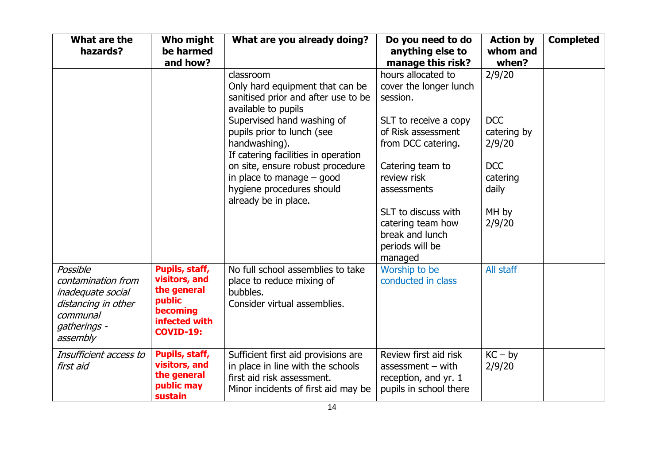| What are the<br>hazards?                                                                                           | <b>Who might</b><br>be harmed<br>and how?                                                                 | What are you already doing?                                                                                                                   | Do you need to do<br>anything else to<br>manage this risk?                                     | <b>Action by</b><br>whom and<br>when? | <b>Completed</b> |
|--------------------------------------------------------------------------------------------------------------------|-----------------------------------------------------------------------------------------------------------|-----------------------------------------------------------------------------------------------------------------------------------------------|------------------------------------------------------------------------------------------------|---------------------------------------|------------------|
|                                                                                                                    |                                                                                                           | classroom<br>Only hard equipment that can be<br>sanitised prior and after use to be<br>available to pupils                                    | hours allocated to<br>cover the longer lunch<br>session.                                       | 2/9/20                                |                  |
|                                                                                                                    |                                                                                                           | Supervised hand washing of<br>pupils prior to lunch (see<br>handwashing).<br>If catering facilities in operation                              | SLT to receive a copy<br>of Risk assessment<br>from DCC catering.                              | <b>DCC</b><br>catering by<br>2/9/20   |                  |
|                                                                                                                    |                                                                                                           | on site, ensure robust procedure<br>in place to manage $-$ good<br>hygiene procedures should<br>already be in place.                          | Catering team to<br>review risk<br>assessments                                                 | <b>DCC</b><br>catering<br>daily       |                  |
|                                                                                                                    |                                                                                                           |                                                                                                                                               | SLT to discuss with<br>catering team how<br>break and lunch<br>periods will be<br>managed      | MH by<br>2/9/20                       |                  |
| Possible<br>contamination from<br>inadequate social<br>distancing in other<br>communal<br>gatherings -<br>assembly | Pupils, staff,<br>visitors, and<br>the general<br>public<br>becoming<br>infected with<br><b>COVID-19:</b> | No full school assemblies to take<br>place to reduce mixing of<br>bubbles.<br>Consider virtual assemblies.                                    | Worship to be<br>conducted in class                                                            | All staff                             |                  |
| Insufficient access to<br>first aid                                                                                | Pupils, staff,<br>visitors, and<br>the general<br>public may<br>sustain                                   | Sufficient first aid provisions are<br>in place in line with the schools<br>first aid risk assessment.<br>Minor incidents of first aid may be | Review first aid risk<br>assessment $-$ with<br>reception, and yr. 1<br>pupils in school there | $KC - by$<br>2/9/20                   |                  |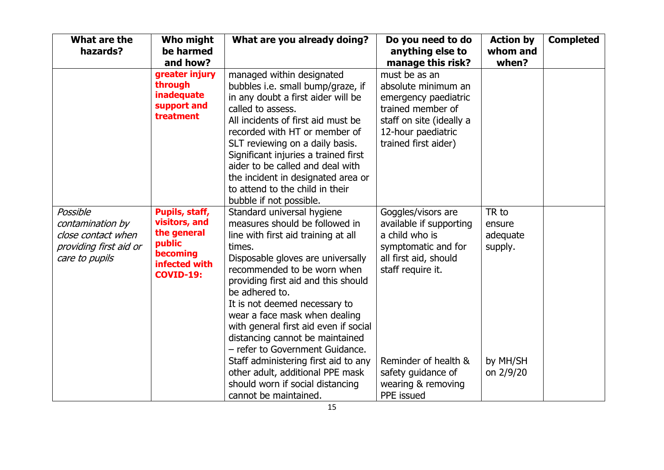| What are the<br>hazards?                                                                       | Who might<br>be harmed<br>and how?                                                                        | What are you already doing?                                                                                                                                                                                                                                                                                                                                                                                                                                                                                                                                          | Do you need to do<br>anything else to<br>manage this risk?                                                                                                                                                             | <b>Action by</b><br>whom and<br>when?                           | <b>Completed</b> |
|------------------------------------------------------------------------------------------------|-----------------------------------------------------------------------------------------------------------|----------------------------------------------------------------------------------------------------------------------------------------------------------------------------------------------------------------------------------------------------------------------------------------------------------------------------------------------------------------------------------------------------------------------------------------------------------------------------------------------------------------------------------------------------------------------|------------------------------------------------------------------------------------------------------------------------------------------------------------------------------------------------------------------------|-----------------------------------------------------------------|------------------|
|                                                                                                | greater injury<br>through<br>inadequate<br>support and<br>treatment                                       | managed within designated<br>bubbles i.e. small bump/graze, if<br>in any doubt a first aider will be<br>called to assess.<br>All incidents of first aid must be<br>recorded with HT or member of<br>SLT reviewing on a daily basis.<br>Significant injuries a trained first<br>aider to be called and deal with<br>the incident in designated area or<br>to attend to the child in their<br>bubble if not possible.                                                                                                                                                  | must be as an<br>absolute minimum an<br>emergency paediatric<br>trained member of<br>staff on site (ideally a<br>12-hour paediatric<br>trained first aider)                                                            |                                                                 |                  |
| Possible<br>contamination by<br>close contact when<br>providing first aid or<br>care to pupils | Pupils, staff,<br>visitors, and<br>the general<br>public<br>becoming<br>infected with<br><b>COVID-19:</b> | Standard universal hygiene<br>measures should be followed in<br>line with first aid training at all<br>times.<br>Disposable gloves are universally<br>recommended to be worn when<br>providing first aid and this should<br>be adhered to.<br>It is not deemed necessary to<br>wear a face mask when dealing<br>with general first aid even if social<br>distancing cannot be maintained<br>- refer to Government Guidance.<br>Staff administering first aid to any<br>other adult, additional PPE mask<br>should worn if social distancing<br>cannot be maintained. | Goggles/visors are<br>available if supporting<br>a child who is<br>symptomatic and for<br>all first aid, should<br>staff require it.<br>Reminder of health &<br>safety guidance of<br>wearing & removing<br>PPE issued | TR to<br>ensure<br>adequate<br>supply.<br>by MH/SH<br>on 2/9/20 |                  |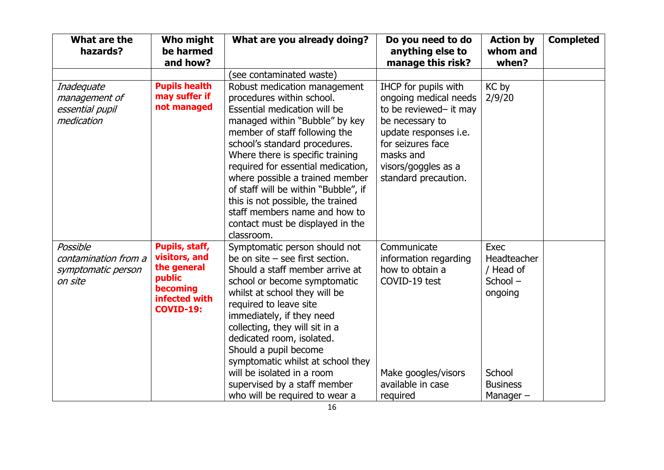| What are the<br>hazards?                                          | Who might<br>be harmed<br>and how?                                                                        | What are you already doing?                                                                                                                                                                                                                                                                                                                                                                                                                                                | Do you need to do<br>anything else to<br>manage this risk?                                                                                                                                           | <b>Action by</b><br>whom and<br>when?                                                              | <b>Completed</b> |
|-------------------------------------------------------------------|-----------------------------------------------------------------------------------------------------------|----------------------------------------------------------------------------------------------------------------------------------------------------------------------------------------------------------------------------------------------------------------------------------------------------------------------------------------------------------------------------------------------------------------------------------------------------------------------------|------------------------------------------------------------------------------------------------------------------------------------------------------------------------------------------------------|----------------------------------------------------------------------------------------------------|------------------|
|                                                                   |                                                                                                           | (see contaminated waste)                                                                                                                                                                                                                                                                                                                                                                                                                                                   |                                                                                                                                                                                                      |                                                                                                    |                  |
| Inadequate<br>management of<br>essential pupil<br>medication      | <b>Pupils health</b><br>may suffer if<br>not managed                                                      | Robust medication management<br>procedures within school.<br>Essential medication will be<br>managed within "Bubble" by key<br>member of staff following the<br>school's standard procedures.<br>Where there is specific training<br>required for essential medication,<br>where possible a trained member<br>of staff will be within "Bubble", if<br>this is not possible, the trained<br>staff members name and how to<br>contact must be displayed in the<br>classroom. | IHCP for pupils with<br>ongoing medical needs<br>to be reviewed- it may<br>be necessary to<br>update responses i.e.<br>for seizures face<br>masks and<br>visors/goggles as a<br>standard precaution. | KC by<br>2/9/20                                                                                    |                  |
| Possible<br>contamination from a<br>symptomatic person<br>on site | Pupils, staff,<br>visitors, and<br>the general<br>public<br>becoming<br>infected with<br><b>COVID-19:</b> | Symptomatic person should not<br>be on site $-$ see first section.<br>Should a staff member arrive at<br>school or become symptomatic<br>whilst at school they will be<br>required to leave site<br>immediately, if they need<br>collecting, they will sit in a<br>dedicated room, isolated.<br>Should a pupil become<br>symptomatic whilst at school they<br>will be isolated in a room<br>supervised by a staff member<br>who will be required to wear a                 | Communicate<br>information regarding<br>how to obtain a<br>COVID-19 test<br>Make googles/visors<br>available in case<br>required                                                                     | Exec<br>Headteacher<br>/ Head of<br>School-<br>ongoing<br>School<br><b>Business</b><br>Manager $-$ |                  |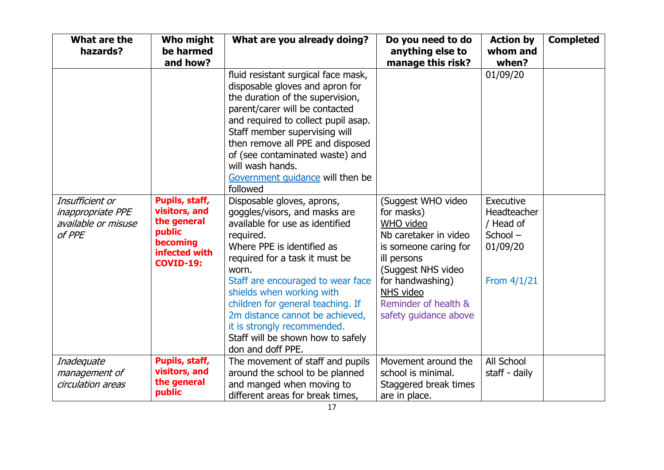| What are the<br>hazards?                                                     | Who might<br>be harmed<br>and how?                                                                        | What are you already doing?                                                                                                                                                                                                                                                                                                                                     | Do you need to do<br>anything else to<br>manage this risk?                                                                                                            | <b>Action by</b><br>whom and<br>when?                                            | <b>Completed</b> |
|------------------------------------------------------------------------------|-----------------------------------------------------------------------------------------------------------|-----------------------------------------------------------------------------------------------------------------------------------------------------------------------------------------------------------------------------------------------------------------------------------------------------------------------------------------------------------------|-----------------------------------------------------------------------------------------------------------------------------------------------------------------------|----------------------------------------------------------------------------------|------------------|
|                                                                              |                                                                                                           | fluid resistant surgical face mask,<br>disposable gloves and apron for<br>the duration of the supervision,<br>parent/carer will be contacted<br>and required to collect pupil asap.<br>Staff member supervising will<br>then remove all PPE and disposed<br>of (see contaminated waste) and<br>will wash hands.<br>Government quidance will then be<br>followed |                                                                                                                                                                       | 01/09/20                                                                         |                  |
| Insufficient or<br><i>inappropriate PPE</i><br>available or misuse<br>of PPE | Pupils, staff,<br>visitors, and<br>the general<br>public<br>becoming<br>infected with<br><b>COVID-19:</b> | Disposable gloves, aprons,<br>goggles/visors, and masks are<br>available for use as identified<br>required.<br>Where PPE is identified as<br>required for a task it must be<br>worn.<br>Staff are encouraged to wear face<br>shields when working with                                                                                                          | (Suggest WHO video<br>for masks)<br>WHO video<br>Nb caretaker in video<br>is someone caring for<br>ill persons<br>(Suggest NHS video<br>for handwashing)<br>NHS video | Executive<br>Headteacher<br>/ Head of<br>School $-$<br>01/09/20<br>From $4/1/21$ |                  |
|                                                                              |                                                                                                           | children for general teaching. If<br>2m distance cannot be achieved,<br>it is strongly recommended.<br>Staff will be shown how to safely<br>don and doff PPE.                                                                                                                                                                                                   | Reminder of health &<br>safety guidance above                                                                                                                         |                                                                                  |                  |
| Inadequate<br>management of<br>circulation areas                             | Pupils, staff,<br>visitors, and<br>the general<br>public                                                  | The movement of staff and pupils<br>around the school to be planned<br>and manged when moving to<br>different areas for break times,                                                                                                                                                                                                                            | Movement around the<br>school is minimal.<br>Staggered break times<br>are in place.                                                                                   | All School<br>staff - daily                                                      |                  |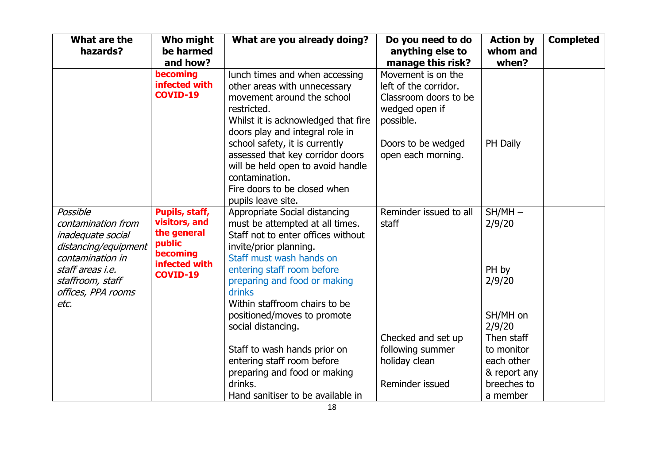| What are the<br>hazards?                                                                                                                                              | Who might<br>be harmed<br>and how?                                                                       | What are you already doing?                                                                                                                                                                                                                                                                                                                                              | Do you need to do<br>anything else to<br>manage this risk?                                                                                      | <b>Action by</b><br>whom and<br>when?                                                    | <b>Completed</b> |
|-----------------------------------------------------------------------------------------------------------------------------------------------------------------------|----------------------------------------------------------------------------------------------------------|--------------------------------------------------------------------------------------------------------------------------------------------------------------------------------------------------------------------------------------------------------------------------------------------------------------------------------------------------------------------------|-------------------------------------------------------------------------------------------------------------------------------------------------|------------------------------------------------------------------------------------------|------------------|
|                                                                                                                                                                       | becoming<br>infected with<br><b>COVID-19</b>                                                             | lunch times and when accessing<br>other areas with unnecessary<br>movement around the school<br>restricted.<br>Whilst it is acknowledged that fire<br>doors play and integral role in<br>school safety, it is currently<br>assessed that key corridor doors<br>will be held open to avoid handle<br>contamination.<br>Fire doors to be closed when<br>pupils leave site. | Movement is on the<br>left of the corridor.<br>Classroom doors to be<br>wedged open if<br>possible.<br>Doors to be wedged<br>open each morning. | PH Daily                                                                                 |                  |
| Possible<br>contamination from<br>inadequate social<br>distancing/equipment<br>contamination in<br>staff areas i.e.<br>staffroom, staff<br>offices, PPA rooms<br>etc. | Pupils, staff,<br>visitors, and<br>the general<br>public<br>becoming<br>infected with<br><b>COVID-19</b> | Appropriate Social distancing<br>must be attempted at all times.<br>Staff not to enter offices without<br>invite/prior planning.<br>Staff must wash hands on<br>entering staff room before<br>preparing and food or making<br>drinks<br>Within staffroom chairs to be<br>positioned/moves to promote<br>social distancing.<br>Staff to wash hands prior on               | Reminder issued to all<br>staff<br>Checked and set up<br>following summer                                                                       | $SH/MH -$<br>2/9/20<br>PH by<br>2/9/20<br>SH/MH on<br>2/9/20<br>Then staff<br>to monitor |                  |
|                                                                                                                                                                       |                                                                                                          | entering staff room before<br>preparing and food or making<br>drinks.<br>Hand sanitiser to be available in                                                                                                                                                                                                                                                               | holiday clean<br>Reminder issued                                                                                                                | each other<br>& report any<br>breeches to<br>a member                                    |                  |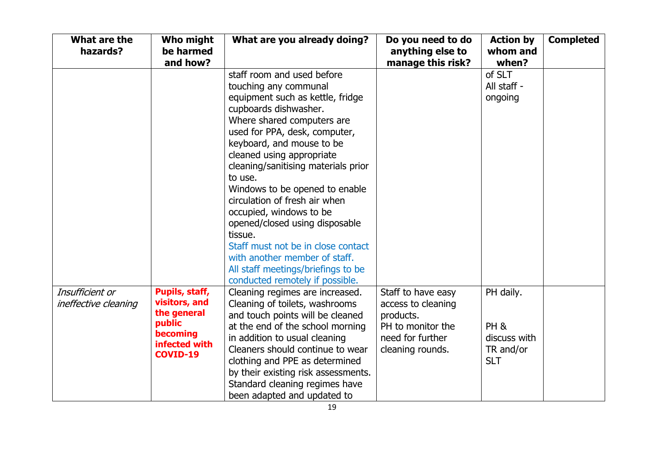| What are the<br>hazards? | Who might<br>be harmed<br>and how? | What are you already doing?                                           | Do you need to do<br>anything else to<br>manage this risk? | <b>Action by</b><br>whom and<br>when? | <b>Completed</b> |
|--------------------------|------------------------------------|-----------------------------------------------------------------------|------------------------------------------------------------|---------------------------------------|------------------|
|                          |                                    | staff room and used before                                            |                                                            | of SLT                                |                  |
|                          |                                    | touching any communal                                                 |                                                            | All staff -                           |                  |
|                          |                                    | equipment such as kettle, fridge                                      |                                                            | ongoing                               |                  |
|                          |                                    | cupboards dishwasher.                                                 |                                                            |                                       |                  |
|                          |                                    | Where shared computers are                                            |                                                            |                                       |                  |
|                          |                                    | used for PPA, desk, computer,                                         |                                                            |                                       |                  |
|                          |                                    | keyboard, and mouse to be                                             |                                                            |                                       |                  |
|                          |                                    | cleaned using appropriate                                             |                                                            |                                       |                  |
|                          |                                    | cleaning/sanitising materials prior                                   |                                                            |                                       |                  |
|                          |                                    | to use.                                                               |                                                            |                                       |                  |
|                          |                                    | Windows to be opened to enable                                        |                                                            |                                       |                  |
|                          |                                    | circulation of fresh air when                                         |                                                            |                                       |                  |
|                          |                                    | occupied, windows to be                                               |                                                            |                                       |                  |
|                          |                                    | opened/closed using disposable                                        |                                                            |                                       |                  |
|                          |                                    | tissue.                                                               |                                                            |                                       |                  |
|                          |                                    | Staff must not be in close contact<br>with another member of staff.   |                                                            |                                       |                  |
|                          |                                    |                                                                       |                                                            |                                       |                  |
|                          |                                    | All staff meetings/briefings to be<br>conducted remotely if possible. |                                                            |                                       |                  |
| Insufficient or          | Pupils, staff,                     | Cleaning regimes are increased.                                       | Staff to have easy                                         | PH daily.                             |                  |
| ineffective cleaning     | visitors, and                      | Cleaning of toilets, washrooms                                        | access to cleaning                                         |                                       |                  |
|                          | the general                        | and touch points will be cleaned                                      | products.                                                  |                                       |                  |
|                          | public                             | at the end of the school morning                                      | PH to monitor the                                          | PH <sub>&amp;</sub>                   |                  |
|                          | becoming                           | in addition to usual cleaning                                         | need for further                                           | discuss with                          |                  |
|                          | infected with                      | Cleaners should continue to wear                                      | cleaning rounds.                                           | TR and/or                             |                  |
|                          | COVID-19                           | clothing and PPE as determined                                        |                                                            | <b>SLT</b>                            |                  |
|                          |                                    | by their existing risk assessments.                                   |                                                            |                                       |                  |
|                          |                                    | Standard cleaning regimes have                                        |                                                            |                                       |                  |
|                          |                                    | been adapted and updated to                                           |                                                            |                                       |                  |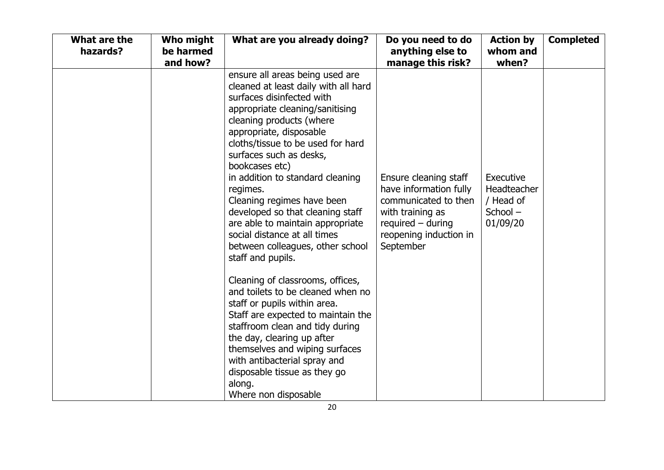| What are the<br>hazards? | Who might<br>be harmed<br>and how? | What are you already doing?                                                                                                                                                                                                                                                                                                                                                                                                                                                                                                     | Do you need to do<br>anything else to<br>manage this risk?                                                                                                | <b>Action by</b><br>whom and<br>when?                           | <b>Completed</b> |
|--------------------------|------------------------------------|---------------------------------------------------------------------------------------------------------------------------------------------------------------------------------------------------------------------------------------------------------------------------------------------------------------------------------------------------------------------------------------------------------------------------------------------------------------------------------------------------------------------------------|-----------------------------------------------------------------------------------------------------------------------------------------------------------|-----------------------------------------------------------------|------------------|
|                          |                                    | ensure all areas being used are<br>cleaned at least daily with all hard<br>surfaces disinfected with<br>appropriate cleaning/sanitising<br>cleaning products (where<br>appropriate, disposable<br>cloths/tissue to be used for hard<br>surfaces such as desks,<br>bookcases etc)<br>in addition to standard cleaning<br>regimes.<br>Cleaning regimes have been<br>developed so that cleaning staff<br>are able to maintain appropriate<br>social distance at all times<br>between colleagues, other school<br>staff and pupils. | Ensure cleaning staff<br>have information fully<br>communicated to then<br>with training as<br>$required - during$<br>reopening induction in<br>September | Executive<br>Headteacher<br>/ Head of<br>$School -$<br>01/09/20 |                  |
|                          |                                    | Cleaning of classrooms, offices,<br>and toilets to be cleaned when no<br>staff or pupils within area.<br>Staff are expected to maintain the<br>staffroom clean and tidy during<br>the day, clearing up after<br>themselves and wiping surfaces<br>with antibacterial spray and<br>disposable tissue as they go<br>along.<br>Where non disposable                                                                                                                                                                                |                                                                                                                                                           |                                                                 |                  |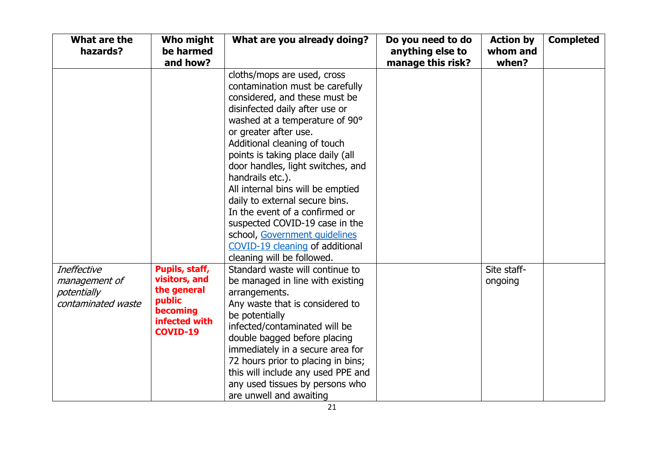| What are the<br>hazards?                                                 | <b>Who might</b><br>be harmed<br>and how?                                                                | What are you already doing?                                                                                                                                                                                                                                                                                                                                                                                                                                                                                                                                             | Do you need to do<br>anything else to<br>manage this risk? | <b>Action by</b><br>whom and<br>when? | <b>Completed</b> |
|--------------------------------------------------------------------------|----------------------------------------------------------------------------------------------------------|-------------------------------------------------------------------------------------------------------------------------------------------------------------------------------------------------------------------------------------------------------------------------------------------------------------------------------------------------------------------------------------------------------------------------------------------------------------------------------------------------------------------------------------------------------------------------|------------------------------------------------------------|---------------------------------------|------------------|
|                                                                          |                                                                                                          | cloths/mops are used, cross<br>contamination must be carefully<br>considered, and these must be<br>disinfected daily after use or<br>washed at a temperature of 90°<br>or greater after use.<br>Additional cleaning of touch<br>points is taking place daily (all<br>door handles, light switches, and<br>handrails etc.).<br>All internal bins will be emptied<br>daily to external secure bins.<br>In the event of a confirmed or<br>suspected COVID-19 case in the<br>school, Government quidelines<br>COVID-19 cleaning of additional<br>cleaning will be followed. |                                                            |                                       |                  |
| <b>Ineffective</b><br>management of<br>potentially<br>contaminated waste | Pupils, staff,<br>visitors, and<br>the general<br>public<br>becoming<br>infected with<br><b>COVID-19</b> | Standard waste will continue to<br>be managed in line with existing<br>arrangements.<br>Any waste that is considered to<br>be potentially<br>infected/contaminated will be<br>double bagged before placing<br>immediately in a secure area for<br>72 hours prior to placing in bins;<br>this will include any used PPE and<br>any used tissues by persons who<br>are unwell and awaiting                                                                                                                                                                                |                                                            | Site staff-<br>ongoing                |                  |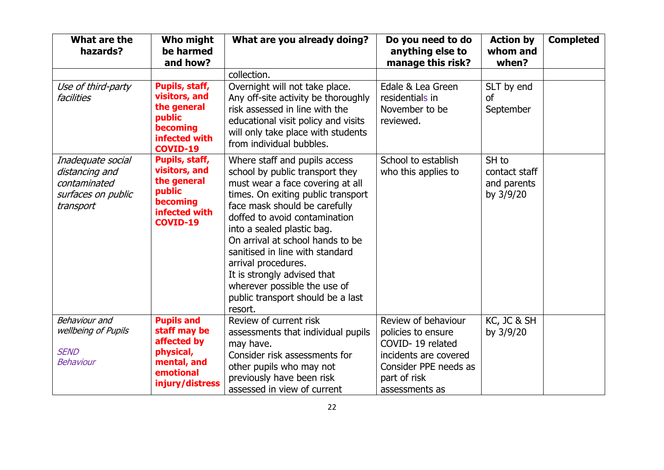| What are the<br>hazards?                                                               | Who might<br>be harmed<br>and how?                                                                           | What are you already doing?                                                                                                                                                                                                                                                                                                                                                                                                                             | Do you need to do<br>anything else to<br>manage this risk?                                                                                        | <b>Action by</b><br>whom and<br>when?              | <b>Completed</b> |
|----------------------------------------------------------------------------------------|--------------------------------------------------------------------------------------------------------------|---------------------------------------------------------------------------------------------------------------------------------------------------------------------------------------------------------------------------------------------------------------------------------------------------------------------------------------------------------------------------------------------------------------------------------------------------------|---------------------------------------------------------------------------------------------------------------------------------------------------|----------------------------------------------------|------------------|
|                                                                                        |                                                                                                              | collection.                                                                                                                                                                                                                                                                                                                                                                                                                                             |                                                                                                                                                   |                                                    |                  |
| Use of third-party<br>facilities                                                       | Pupils, staff,<br>visitors, and<br>the general<br>public<br>becoming<br>infected with<br>COVID-19            | Overnight will not take place.<br>Any off-site activity be thoroughly<br>risk assessed in line with the<br>educational visit policy and visits<br>will only take place with students<br>from individual bubbles.                                                                                                                                                                                                                                        | Edale & Lea Green<br>residentials in<br>November to be<br>reviewed.                                                                               | SLT by end<br><b>of</b><br>September               |                  |
| Inadequate social<br>distancing and<br>contaminated<br>surfaces on public<br>transport | Pupils, staff,<br>visitors, and<br>the general<br>public<br>becoming<br>infected with<br><b>COVID-19</b>     | Where staff and pupils access<br>school by public transport they<br>must wear a face covering at all<br>times. On exiting public transport<br>face mask should be carefully<br>doffed to avoid contamination<br>into a sealed plastic bag.<br>On arrival at school hands to be<br>sanitised in line with standard<br>arrival procedures.<br>It is strongly advised that<br>wherever possible the use of<br>public transport should be a last<br>resort. | School to establish<br>who this applies to                                                                                                        | SH to<br>contact staff<br>and parents<br>by 3/9/20 |                  |
| <b>Behaviour</b> and<br>wellbeing of Pupils<br><b>SEND</b><br>Behaviour                | <b>Pupils and</b><br>staff may be<br>affected by<br>physical,<br>mental, and<br>emotional<br>injury/distress | Review of current risk<br>assessments that individual pupils<br>may have.<br>Consider risk assessments for<br>other pupils who may not<br>previously have been risk<br>assessed in view of current                                                                                                                                                                                                                                                      | Review of behaviour<br>policies to ensure<br>COVID-19 related<br>incidents are covered<br>Consider PPE needs as<br>part of risk<br>assessments as | KC, JC & SH<br>by 3/9/20                           |                  |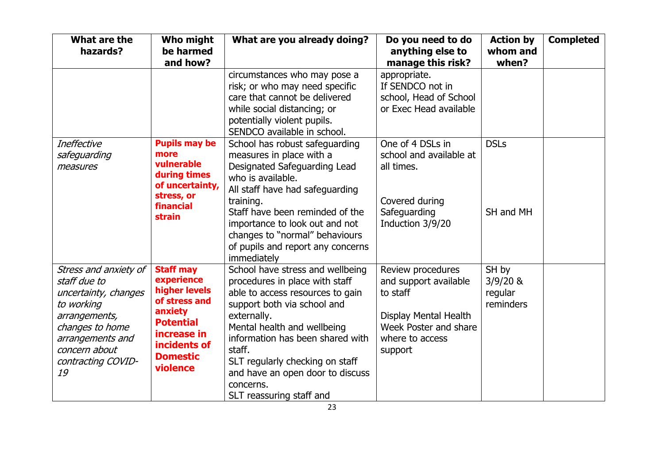| What are the<br>hazards?                                                                                                                                                         | Who might<br>be harmed<br>and how?                                                                                                                            | What are you already doing?                                                                                                                                                                                                                                                                                                                       | Do you need to do<br>anything else to<br>manage this risk?                                                                             | <b>Action by</b><br>whom and<br>when?       | <b>Completed</b> |
|----------------------------------------------------------------------------------------------------------------------------------------------------------------------------------|---------------------------------------------------------------------------------------------------------------------------------------------------------------|---------------------------------------------------------------------------------------------------------------------------------------------------------------------------------------------------------------------------------------------------------------------------------------------------------------------------------------------------|----------------------------------------------------------------------------------------------------------------------------------------|---------------------------------------------|------------------|
|                                                                                                                                                                                  |                                                                                                                                                               | circumstances who may pose a<br>risk; or who may need specific<br>care that cannot be delivered<br>while social distancing; or<br>potentially violent pupils.<br>SENDCO available in school.                                                                                                                                                      | appropriate.<br>If SENDCO not in<br>school, Head of School<br>or Exec Head available                                                   |                                             |                  |
| <b>Ineffective</b><br>safeguarding<br>measures                                                                                                                                   | <b>Pupils may be</b><br>more<br>vulnerable<br>during times<br>of uncertainty,<br>stress, or<br>financial<br>strain                                            | School has robust safeguarding<br>measures in place with a<br>Designated Safeguarding Lead<br>who is available.<br>All staff have had safeguarding<br>training.<br>Staff have been reminded of the<br>importance to look out and not<br>changes to "normal" behaviours<br>of pupils and report any concerns<br>immediately                        | One of 4 DSLs in<br>school and available at<br>all times.<br>Covered during<br>Safeguarding<br>Induction 3/9/20                        | <b>DSLs</b><br>SH and MH                    |                  |
| Stress and anxiety of<br>staff due to<br>uncertainty, changes<br>to working<br>arrangements,<br>changes to home<br>arrangements and<br>concern about<br>contracting COVID-<br>19 | <b>Staff may</b><br>experience<br>higher levels<br>of stress and<br>anxiety<br><b>Potential</b><br>increase in<br>incidents of<br><b>Domestic</b><br>violence | School have stress and wellbeing<br>procedures in place with staff<br>able to access resources to gain<br>support both via school and<br>externally.<br>Mental health and wellbeing<br>information has been shared with<br>staff.<br>SLT regularly checking on staff<br>and have an open door to discuss<br>concerns.<br>SLT reassuring staff and | Review procedures<br>and support available<br>to staff<br>Display Mental Health<br>Week Poster and share<br>where to access<br>support | SH by<br>$3/9/20$ &<br>regular<br>reminders |                  |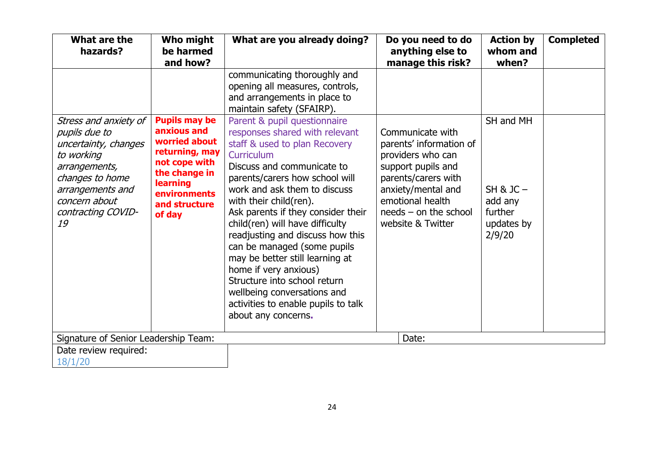| What are the<br>hazards?                                                                                                                                                          | Who might<br>be harmed<br>and how?                                                                                                                                            | What are you already doing?                                                                                                                                                                                                                                                                                                                                                                                                                                                                                                                                                  | Do you need to do<br>anything else to<br>manage this risk?                                                                                                                                              | <b>Action by</b><br>whom and<br>when?                                  | <b>Completed</b> |
|-----------------------------------------------------------------------------------------------------------------------------------------------------------------------------------|-------------------------------------------------------------------------------------------------------------------------------------------------------------------------------|------------------------------------------------------------------------------------------------------------------------------------------------------------------------------------------------------------------------------------------------------------------------------------------------------------------------------------------------------------------------------------------------------------------------------------------------------------------------------------------------------------------------------------------------------------------------------|---------------------------------------------------------------------------------------------------------------------------------------------------------------------------------------------------------|------------------------------------------------------------------------|------------------|
|                                                                                                                                                                                   |                                                                                                                                                                               | communicating thoroughly and<br>opening all measures, controls,<br>and arrangements in place to<br>maintain safety (SFAIRP).                                                                                                                                                                                                                                                                                                                                                                                                                                                 |                                                                                                                                                                                                         |                                                                        |                  |
| Stress and anxiety of<br>pupils due to<br>uncertainty, changes<br>to working<br>arrangements,<br>changes to home<br>arrangements and<br>concern about<br>contracting COVID-<br>19 | <b>Pupils may be</b><br>anxious and<br>worried about<br>returning, may<br>not cope with<br>the change in<br><b>learning</b><br><b>environments</b><br>and structure<br>of day | Parent & pupil questionnaire<br>responses shared with relevant<br>staff & used to plan Recovery<br>Curriculum<br>Discuss and communicate to<br>parents/carers how school will<br>work and ask them to discuss<br>with their child(ren).<br>Ask parents if they consider their<br>child(ren) will have difficulty<br>readjusting and discuss how this<br>can be managed (some pupils<br>may be better still learning at<br>home if very anxious)<br>Structure into school return<br>wellbeing conversations and<br>activities to enable pupils to talk<br>about any concerns. | Communicate with<br>parents' information of<br>providers who can<br>support pupils and<br>parents/carers with<br>anxiety/mental and<br>emotional health<br>$needs - on the school$<br>website & Twitter | SH and MH<br>$SH & JC -$<br>add any<br>further<br>updates by<br>2/9/20 |                  |
| Signature of Senior Leadership Team:                                                                                                                                              |                                                                                                                                                                               |                                                                                                                                                                                                                                                                                                                                                                                                                                                                                                                                                                              | Date:                                                                                                                                                                                                   |                                                                        |                  |
| Date review required:<br>18/1/20                                                                                                                                                  |                                                                                                                                                                               |                                                                                                                                                                                                                                                                                                                                                                                                                                                                                                                                                                              |                                                                                                                                                                                                         |                                                                        |                  |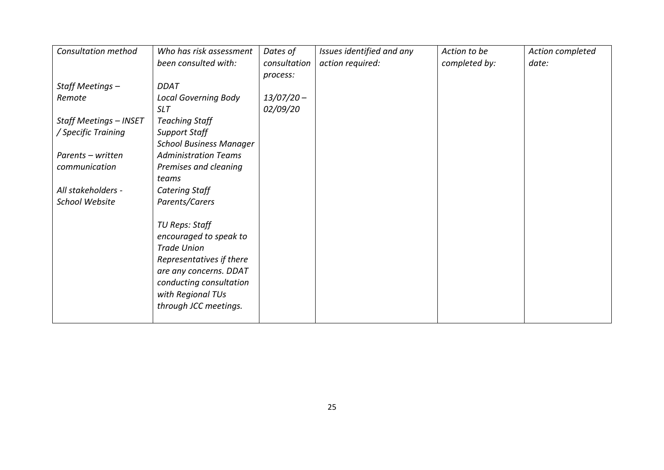| <b>Consultation method</b>    | Who has risk assessment        | Dates of     | Issues identified and any | Action to be  | Action completed |
|-------------------------------|--------------------------------|--------------|---------------------------|---------------|------------------|
|                               | been consulted with:           | consultation | action required:          | completed by: | date:            |
|                               |                                | process:     |                           |               |                  |
| Staff Meetings -              | <b>DDAT</b>                    |              |                           |               |                  |
| Remote                        | <b>Local Governing Body</b>    | $13/07/20 -$ |                           |               |                  |
|                               | <b>SLT</b>                     | 02/09/20     |                           |               |                  |
| <b>Staff Meetings - INSET</b> | <b>Teaching Staff</b>          |              |                           |               |                  |
| / Specific Training           | <b>Support Staff</b>           |              |                           |               |                  |
|                               | <b>School Business Manager</b> |              |                           |               |                  |
| Parents - written             | <b>Administration Teams</b>    |              |                           |               |                  |
| communication                 | Premises and cleaning          |              |                           |               |                  |
|                               | teams                          |              |                           |               |                  |
| All stakeholders -            | Catering Staff                 |              |                           |               |                  |
| School Website                | Parents/Carers                 |              |                           |               |                  |
|                               |                                |              |                           |               |                  |
|                               | TU Reps: Staff                 |              |                           |               |                  |
|                               | encouraged to speak to         |              |                           |               |                  |
|                               | <b>Trade Union</b>             |              |                           |               |                  |
|                               | Representatives if there       |              |                           |               |                  |
|                               | are any concerns. DDAT         |              |                           |               |                  |
|                               | conducting consultation        |              |                           |               |                  |
|                               | with Regional TUs              |              |                           |               |                  |
|                               | through JCC meetings.          |              |                           |               |                  |
|                               |                                |              |                           |               |                  |